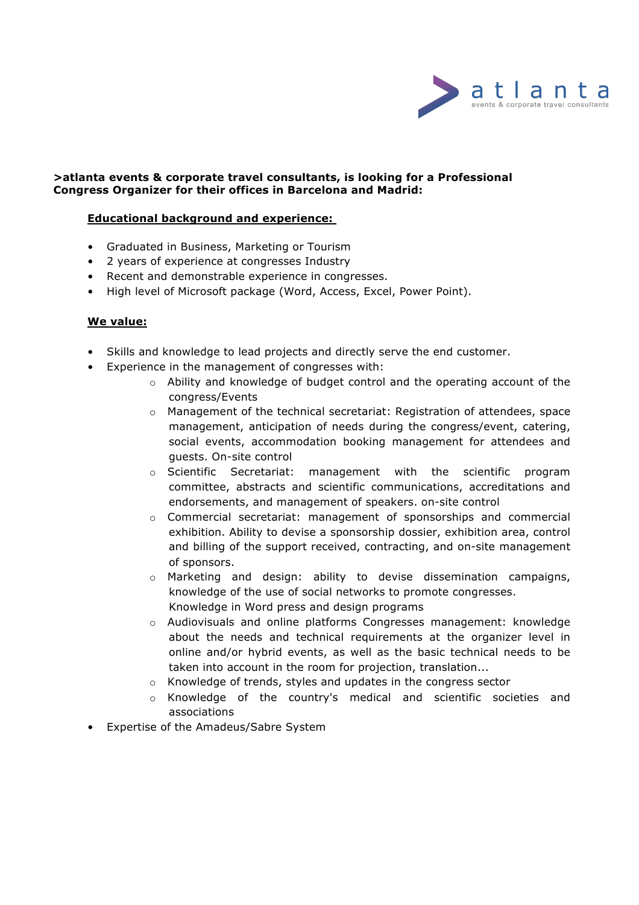

#### **>atlanta events & corporate travel consultants, is looking for a Professional Congress Organizer for their offices in Barcelona and Madrid:**

#### **Educational background and experience:**

- Graduated in Business, Marketing or Tourism
- 2 years of experience at congresses Industry
- Recent and demonstrable experience in congresses.
- High level of Microsoft package (Word, Access, Excel, Power Point).

#### **We value:**

- Skills and knowledge to lead projects and directly serve the end customer.
- Experience in the management of congresses with:
	- o Ability and knowledge of budget control and the operating account of the congress/Events
	- $\circ$  Management of the technical secretariat: Registration of attendees, space management, anticipation of needs during the congress/event, catering, social events, accommodation booking management for attendees and guests. On-site control
	- o Scientific Secretariat: management with the scientific program committee, abstracts and scientific communications, accreditations and endorsements, and management of speakers. on-site control
	- o Commercial secretariat: management of sponsorships and commercial exhibition. Ability to devise a sponsorship dossier, exhibition area, control and billing of the support received, contracting, and on-site management of sponsors.
	- o Marketing and design: ability to devise dissemination campaigns, knowledge of the use of social networks to promote congresses. Knowledge in Word press and design programs
	- o Audiovisuals and online platforms Congresses management: knowledge about the needs and technical requirements at the organizer level in online and/or hybrid events, as well as the basic technical needs to be taken into account in the room for projection, translation...
	- o Knowledge of trends, styles and updates in the congress sector
	- o Knowledge of the country's medical and scientific societies and associations
- Expertise of the Amadeus/Sabre System